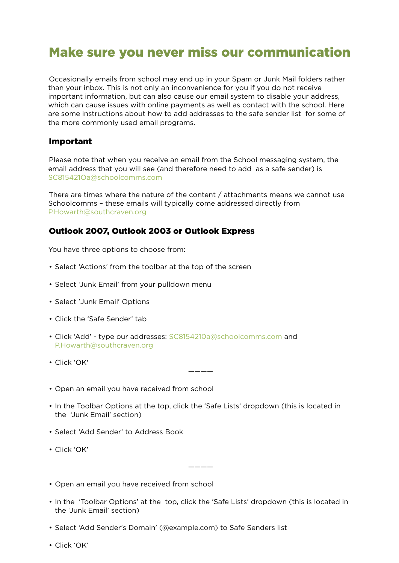# Make sure you never miss our communication

Occasionally emails from school may end up in your Spam or Junk Mail folders rather than your inbox. This is not only an inconvenience for you if you do not receive important information, but can also cause our email system to disable your address, which can cause issues with online payments as well as contact with the school. Here are some instructions about how to add addresses to the safe sender list for some of the more commonly used email programs.

#### Important

Please note that when you receive an email from the School messaging system, the email address that you will see (and therefore need to add as a safe sender) is SC815421Oa@schoolcomms.com

There are times where the nature of the content / attachments means we cannot use Schoolcomms – these emails will typically come addressed directly from P.Howarth@southcraven.org

#### Outlook 2007, Outlook 2003 or Outlook Express

You have three options to choose from:

- Select 'Actions' from the toolbar at the top of the screen
- Select 'Junk Email' from your pulldown menu
- Select 'Junk Email' Options
- Click the 'Safe Sender' tab
- Click 'Add' type our addresses: SC8154210a@schoolcomms.com and P.Howarth@southcraven.org
- Click 'OK'
- Open an email you have received from school
- In the Toolbar Options at the top, click the 'Safe Lists' dropdown (this is located in the 'Junk Email' section)

————

- Select 'Add Sender' to Address Book
- Click 'OK'
- Open an email you have received from school
- In the 'Toolbar Options' at the top, click the 'Safe Lists' dropdown (this is located in the 'Junk Email' section)

————

- Select 'Add Sender's Domain' (@example.com) to Safe Senders list
- Click 'OK'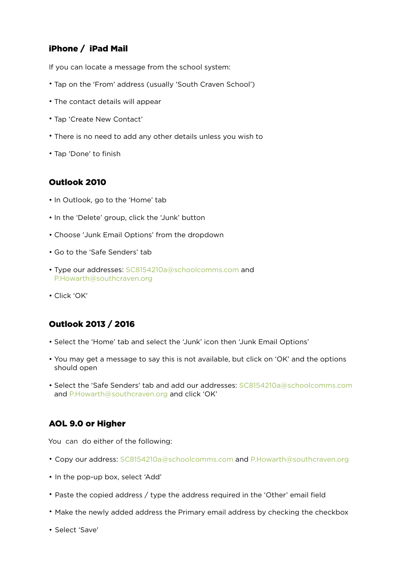# iPhone / iPad Mail

If you can locate a message from the school system:

- Tap on the 'From' address (usually 'South Craven School')
- The contact details will appear
- Tap 'Create New Contact'
- There is no need to add any other details unless you wish to
- Tap 'Done' to finish

#### [Outlook 2010](https://www.ormskirk.lancs.sch.uk/index.php/parents/2398-schoolcomms-safe#outlook-2010)

- In Outlook, go to the 'Home' tab
- In the 'Delete' group, click the 'Junk' button
- Choose 'Junk Email Options' from the dropdown
- Go to the 'Safe Senders' tab
- Type our addresses: SC8154210a@schoolcomms.com and P.Howarth@southcraven.org
- Click 'OK'

# Outlook 2013 / 2016

- Select the 'Home' tab and select the 'Junk' icon then 'Junk Email Options'
- You may get a message to say this is not available, but click on 'OK' and the options should open
- Select the 'Safe Senders' tab and add our addresses: SC8154210a@schoolcomms.com and P.Howarth@southcraven.org and click 'OK'

## [AOL 9](https://www.ormskirk.lancs.sch.uk/index.php/parents/2398-schoolcomms-safe#outlook-2010).0 or Higher

You can do either of the following:

- Copy our address: SC8154210a@schoolcomms.com and P.Howarth@southcraven.org
- In the pop-up box, select 'Add'
- Paste the copied address / type the address required in the 'Other' email field
- Make the newly added address the Primary email address by checking the checkbox
- Select 'Save'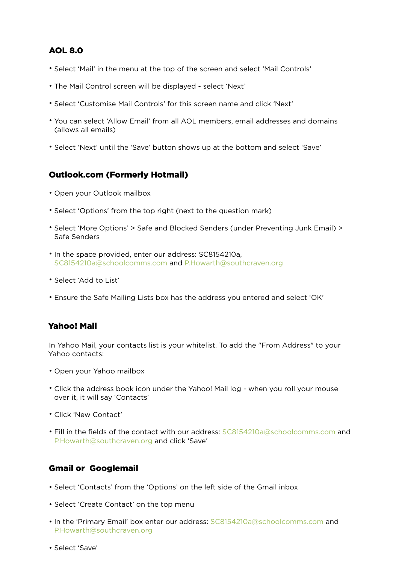# AOL 8.0

- Select 'Mail' in the menu at the top of the screen and select 'Mail Controls'
- The Mail Control screen will be displayed select 'Next'
- Select 'Customise Mail Controls' for this screen name and click 'Next'
- You can select 'Allow Email' from all AOL members, email addresses and domains (allows all emails)
- Select 'Next' until the 'Save' button shows up at the bottom and select 'Save'

# Outlook.com (Formerly Hotmail)

- Open your Outlook mailbox
- Select 'Options' from the top right (next to the question mark)
- Select 'More Options' > Safe and Blocked Senders (under Preventing Junk Email) > Safe Senders
- In the space provided, enter our address: SC8154210a, SC8154210a@schoolcomms.com and P.Howarth@southcraven.org
- Select 'Add to List'
- Ensure the Safe Mailing Lists box has the address you entered and select 'OK'

## Yahoo! Mail

In Yahoo Mail, your contacts list is your whitelist. To add the "From Address" to your Yahoo contacts:

- Open your Yahoo mailbox
- Click the address book icon under the Yahoo! Mail log when you roll your mouse over it, it will say 'Contacts'
- Click 'New Contact'
- Fill in the fields of the contact with our address: SC8154210a@schoolcomms.com and P.Howarth@southcraven.org and click 'Save'

# Gmail or Googlemail

- Select 'Contacts' from the 'Options' on the left side of the Gmail inbox
- Select 'Create Contact' on the top menu
- In the 'Primary Email' box enter our address: SC8154210a@schoolcomms.com and P.Howarth@southcraven.org
- Select 'Save'